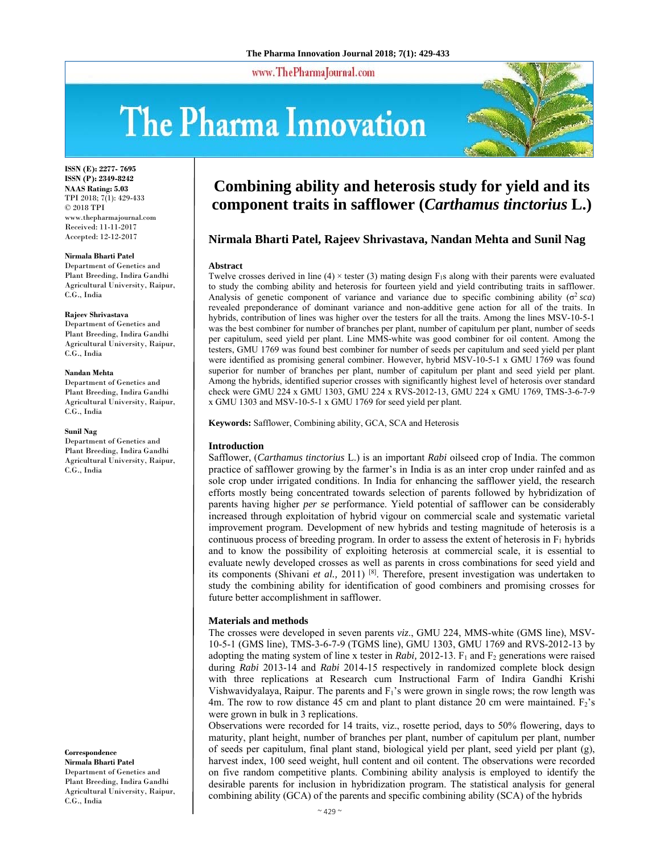www.ThePharmaJournal.com

# The Pharma Innovation



**ISSN (E): 2277- 7695 ISSN (P): 2349-8242 NAAS Rating: 5.03** TPI 2018; 7(1): 429-433 © 2018 TPI www.thepharmajournal.com Received: 11-11-2017 Accepted: 12-12-2017

#### **Nirmala Bharti Patel**

Department of Genetics and Plant Breeding, Indira Gandhi Agricultural University, Raipur, C.G., India

#### **Rajeev Shrivastava**

Department of Genetics and Plant Breeding, Indira Gandhi Agricultural University, Raipur, C.G., India

#### **Nandan Mehta**

Department of Genetics and Plant Breeding, Indira Gandhi Agricultural University, Raipur, C.G., India

#### **Sunil Nag**

Department of Genetics and Plant Breeding, Indira Gandhi Agricultural University, Raipur, C.G., India

**Correspondence Nirmala Bharti Patel** 

Department of Genetics and Plant Breeding, Indira Gandhi Agricultural University, Raipur, C.G., India

# **Combining ability and heterosis study for yield and its component traits in safflower (***Carthamus tinctorius* **L.)**

# **Nirmala Bharti Patel, Rajeev Shrivastava, Nandan Mehta and Sunil Nag**

#### **Abstract**

Twelve crosses derived in line  $(4) \times$  tester  $(3)$  mating design F<sub>1s</sub> along with their parents were evaluated to study the combing ability and heterosis for fourteen yield and yield contributing traits in safflower. Analysis of genetic component of variance and variance due to specific combining ability  $(\sigma^2 sca)$ revealed preponderance of dominant variance and non-additive gene action for all of the traits. In hybrids, contribution of lines was higher over the testers for all the traits. Among the lines MSV-10-5-1 was the best combiner for number of branches per plant, number of capitulum per plant, number of seeds per capitulum, seed yield per plant. Line MMS-white was good combiner for oil content. Among the testers, GMU 1769 was found best combiner for number of seeds per capitulum and seed yield per plant were identified as promising general combiner. However, hybrid MSV-10-5-1 x GMU 1769 was found superior for number of branches per plant, number of capitulum per plant and seed yield per plant. Among the hybrids, identified superior crosses with significantly highest level of heterosis over standard check were GMU 224 x GMU 1303, GMU 224 x RVS-2012-13, GMU 224 x GMU 1769, TMS-3-6-7-9 x GMU 1303 and MSV-10-5-1 x GMU 1769 for seed yield per plant.

**Keywords:** Safflower, Combining ability, GCA, SCA and Heterosis

## **Introduction**

Safflower, (*Carthamus tinctorius* L.) is an important *Rabi* oilseed crop of India. The common practice of safflower growing by the farmer's in India is as an inter crop under rainfed and as sole crop under irrigated conditions. In India for enhancing the safflower yield, the research efforts mostly being concentrated towards selection of parents followed by hybridization of parents having higher *per se* performance. Yield potential of safflower can be considerably increased through exploitation of hybrid vigour on commercial scale and systematic varietal improvement program. Development of new hybrids and testing magnitude of heterosis is a continuous process of breeding program. In order to assess the extent of heterosis in  $F_1$  hybrids and to know the possibility of exploiting heterosis at commercial scale, it is essential to evaluate newly developed crosses as well as parents in cross combinations for seed yield and its components (Shivani *et al.,* 2011) [8]. Therefore, present investigation was undertaken to study the combining ability for identification of good combiners and promising crosses for future better accomplishment in safflower.

## **Materials and methods**

The crosses were developed in seven parents *viz*., GMU 224, MMS-white (GMS line), MSV-10-5-1 (GMS line), TMS-3-6-7-9 (TGMS line), GMU 1303, GMU 1769 and RVS-2012-13 by adopting the mating system of line x tester in *Rabi*, 2012-13.  $F_1$  and  $F_2$  generations were raised during *Rabi* 2013-14 and *Rabi* 2014-15 respectively in randomized complete block design with three replications at Research cum Instructional Farm of Indira Gandhi Krishi Vishwavidyalaya, Raipur. The parents and  $F_1$ 's were grown in single rows; the row length was 4m. The row to row distance 45 cm and plant to plant distance 20 cm were maintained.  $F_2$ 's were grown in bulk in 3 replications.

Observations were recorded for 14 traits, viz., rosette period, days to 50% flowering, days to maturity, plant height, number of branches per plant, number of capitulum per plant, number of seeds per capitulum, final plant stand, biological yield per plant, seed yield per plant (g), harvest index, 100 seed weight, hull content and oil content. The observations were recorded on five random competitive plants. Combining ability analysis is employed to identify the desirable parents for inclusion in hybridization program. The statistical analysis for general combining ability (GCA) of the parents and specific combining ability (SCA) of the hybrids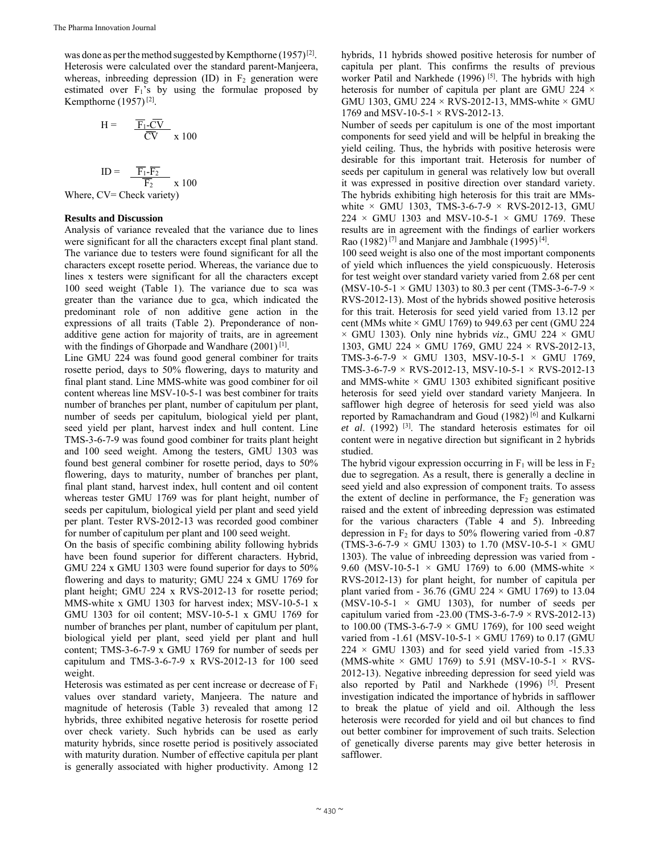was done as per the method suggested by Kempthorne  $(1957)^{[2]}$ . Heterosis were calculated over the standard parent-Manjeera, whereas, inbreeding depression  $(ID)$  in  $F_2$  generation were estimated over  $F_1$ 's by using the formulae proposed by Kempthorne (1957) [2].

$$
H = \frac{\overline{F_1} \cdot \overline{CV}}{\overline{CV}} \times 100
$$

$$
ID = \frac{\overline{F_1} \cdot \overline{F_2}}{\overline{F_2}} \times 100
$$

Where, CV= Check variety)

# **Results and Discussion**

Analysis of variance revealed that the variance due to lines were significant for all the characters except final plant stand. The variance due to testers were found significant for all the characters except rosette period. Whereas, the variance due to lines x testers were significant for all the characters except 100 seed weight (Table 1). The variance due to sca was greater than the variance due to gca, which indicated the predominant role of non additive gene action in the expressions of all traits (Table 2). Preponderance of nonadditive gene action for majority of traits, are in agreement with the findings of Ghorpade and Wandhare (2001)<sup>[1]</sup>.

Line GMU 224 was found good general combiner for traits rosette period, days to 50% flowering, days to maturity and final plant stand. Line MMS-white was good combiner for oil content whereas line MSV-10-5-1 was best combiner for traits number of branches per plant, number of capitulum per plant, number of seeds per capitulum, biological yield per plant, seed yield per plant, harvest index and hull content. Line TMS-3-6-7-9 was found good combiner for traits plant height and 100 seed weight. Among the testers, GMU 1303 was found best general combiner for rosette period, days to 50% flowering, days to maturity, number of branches per plant, final plant stand, harvest index, hull content and oil content whereas tester GMU 1769 was for plant height, number of seeds per capitulum, biological yield per plant and seed yield per plant. Tester RVS-2012-13 was recorded good combiner for number of capitulum per plant and 100 seed weight.

On the basis of specific combining ability following hybrids have been found superior for different characters. Hybrid, GMU 224 x GMU 1303 were found superior for days to 50% flowering and days to maturity; GMU 224 x GMU 1769 for plant height; GMU 224 x RVS-2012-13 for rosette period; MMS-white x GMU 1303 for harvest index; MSV-10-5-1 x GMU 1303 for oil content; MSV-10-5-1 x GMU 1769 for number of branches per plant, number of capitulum per plant, biological yield per plant, seed yield per plant and hull content; TMS-3-6-7-9 x GMU 1769 for number of seeds per capitulum and TMS-3-6-7-9 x RVS-2012-13 for 100 seed weight.

Heterosis was estimated as per cent increase or decrease of  $F_1$ values over standard variety, Manjeera. The nature and magnitude of heterosis (Table 3) revealed that among 12 hybrids, three exhibited negative heterosis for rosette period over check variety. Such hybrids can be used as early maturity hybrids, since rosette period is positively associated with maturity duration. Number of effective capitula per plant is generally associated with higher productivity. Among 12

hybrids, 11 hybrids showed positive heterosis for number of capitula per plant. This confirms the results of previous worker Patil and Narkhede (1996)<sup>[5]</sup>. The hybrids with high heterosis for number of capitula per plant are GMU 224  $\times$ GMU 1303, GMU 224  $\times$  RVS-2012-13, MMS-white  $\times$  GMU 1769 and MSV-10-5-1 × RVS-2012-13.

Number of seeds per capitulum is one of the most important components for seed yield and will be helpful in breaking the yield ceiling. Thus, the hybrids with positive heterosis were desirable for this important trait. Heterosis for number of seeds per capitulum in general was relatively low but overall it was expressed in positive direction over standard variety. The hybrids exhibiting high heterosis for this trait are MMswhite  $\times$  GMU 1303, TMS-3-6-7-9  $\times$  RVS-2012-13, GMU  $224 \times$  GMU 1303 and MSV-10-5-1  $\times$  GMU 1769. These results are in agreement with the findings of earlier workers Rao (1982)<sup>[7]</sup> and Manjare and Jambhale (1995)<sup>[4]</sup>.

100 seed weight is also one of the most important components of yield which influences the yield conspicuously. Heterosis for test weight over standard variety varied from 2.68 per cent (MSV-10-5-1  $\times$  GMU 1303) to 80.3 per cent (TMS-3-6-7-9  $\times$ RVS-2012-13). Most of the hybrids showed positive heterosis for this trait. Heterosis for seed yield varied from 13.12 per cent (MMs white  $\times$  GMU 1769) to 949.63 per cent (GMU 224  $\times$  GMU 1303). Only nine hybrids *viz.*, GMU 224  $\times$  GMU 1303, GMU 224 × GMU 1769, GMU 224 × RVS-2012-13, TMS-3-6-7-9  $\times$  GMU 1303, MSV-10-5-1  $\times$  GMU 1769, TMS-3-6-7-9  $\times$  RVS-2012-13, MSV-10-5-1  $\times$  RVS-2012-13 and MMS-white  $\times$  GMU 1303 exhibited significant positive heterosis for seed yield over standard variety Manjeera. In safflower high degree of heterosis for seed yield was also reported by Ramachandram and Goud (1982) [6] and Kulkarni *et al*. (1992) [3]. The standard heterosis estimates for oil content were in negative direction but significant in 2 hybrids studied.

The hybrid vigour expression occurring in  $F_1$  will be less in  $F_2$ due to segregation. As a result, there is generally a decline in seed yield and also expression of component traits. To assess the extent of decline in performance, the  $F_2$  generation was raised and the extent of inbreeding depression was estimated for the various characters (Table 4 and 5). Inbreeding depression in F2 for days to 50% flowering varied from -0.87 (TMS-3-6-7-9  $\times$  GMU 1303) to 1.70 (MSV-10-5-1  $\times$  GMU 1303). The value of inbreeding depression was varied from - 9.60 (MSV-10-5-1  $\times$  GMU 1769) to 6.00 (MMS-white  $\times$ RVS-2012-13) for plant height, for number of capitula per plant varied from - 36.76 (GMU 224  $\times$  GMU 1769) to 13.04  $(MSV-10-5-1 \times GMU$  1303), for number of seeds per capitulum varied from -23.00 (TMS-3-6-7-9  $\times$  RVS-2012-13) to 100.00 (TMS-3-6-7-9  $\times$  GMU 1769), for 100 seed weight varied from -1.61 (MSV-10-5-1  $\times$  GMU 1769) to 0.17 (GMU  $224 \times$  GMU 1303) and for seed yield varied from -15.33 (MMS-white  $\times$  GMU 1769) to 5.91 (MSV-10-5-1  $\times$  RVS-2012-13). Negative inbreeding depression for seed yield was also reported by Patil and Narkhede (1996) <sup>[5]</sup>. Present investigation indicated the importance of hybrids in safflower to break the platue of yield and oil. Although the less heterosis were recorded for yield and oil but chances to find out better combiner for improvement of such traits. Selection of genetically diverse parents may give better heterosis in safflower.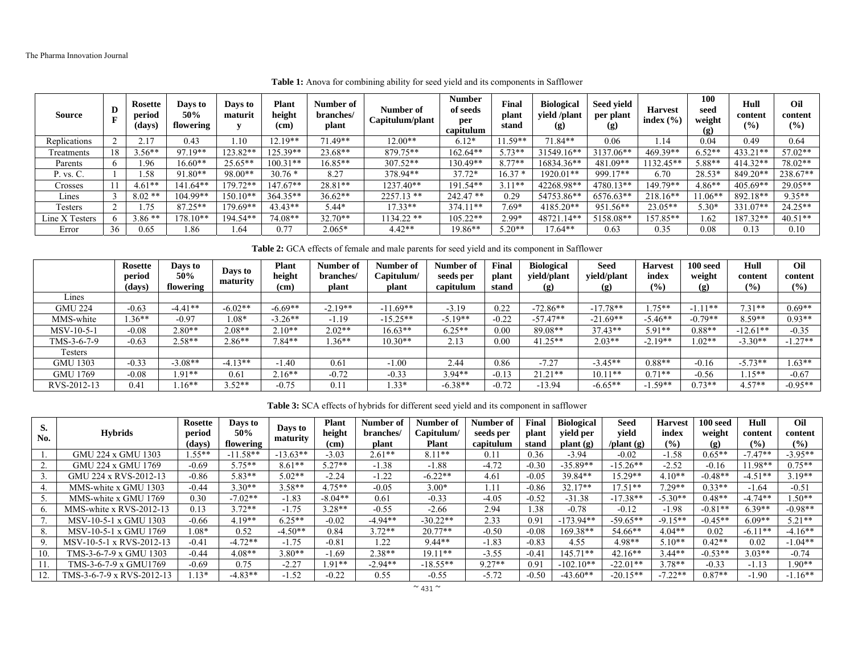| <b>Source</b>  | D  | <b>Rosette</b><br>period<br>(days) | Days to<br>50%<br>flowering | Davs to<br>maturit | <b>Plant</b><br>height<br>(cm) | Number of<br>branches/<br>plant | Number of<br>Capitulum/plant | <b>Number</b><br>of seeds<br>per<br>capitulum | Final<br>plant<br>stand | <b>Biological</b><br>yield /plant<br>(g) | Seed vield<br>per plant<br>(g | <b>Harvest</b><br>index $(\% )$ | 100<br>seed<br>weight<br>(g) | Hull<br>content<br>(0/0) | Oil<br>content<br>(%) |
|----------------|----|------------------------------------|-----------------------------|--------------------|--------------------------------|---------------------------------|------------------------------|-----------------------------------------------|-------------------------|------------------------------------------|-------------------------------|---------------------------------|------------------------------|--------------------------|-----------------------|
| Replications   |    |                                    | 0.43                        | .10                | $12.19**$                      | 71.49**                         | $12.00**$                    | $6.12*$                                       | $.59**$                 | $71.84**$                                | 0.06                          | . 14                            | 0.04                         | 0.49                     | 0.64                  |
| Freatments     |    | $3.56**$                           | 97.19**                     | 123.82**           | $125.39**$                     | $23.68**$                       | 879.75**                     | 162.64**                                      | $5.73**$                | 31549.16**                               | 3137.06**                     | 469.39**                        | $0.52**$                     | 433.21**                 | $57.02**$             |
| Parents        |    | .96                                | $16.60**$                   | $25.65**$          | $100.31**$                     | 16.85**                         | $307.52**$                   | 130.49**                                      | $8.77**$                | 16834.36**                               | 481.09**                      | 132.45**                        | 5.88**                       | $414.32**$               | 78.02**               |
| P. vs. C.      |    | .58                                | $91.80**$                   | $98.00**$          | $30.76*$                       | 8.27                            | 378.94**                     | $37.72*$                                      | $16.37*$                | 1920.01**                                | 999.17**                      | 6.70                            | 28.53*                       | 849.20**                 | 238.67**              |
| Crosses        |    | $4.61**$                           | 141.64**                    | $179.72**$         | 147.67**                       | 28.81**                         | 1237.40**                    | 191.54**                                      | $3.11**$                | 42268.98**                               | 4780.13**                     | 149.79**                        | $4.86**$                     | $405.69**$               | $29.05**$             |
| Lines          |    | $8.02**$                           | 104.99**                    | $150.10**$         | $364.35**$                     | 36.62**                         | $2257.13$ **                 | $242.47**$                                    | 0.29                    | 54753.86**                               | 6576.63**                     | $218.16**$                      | $1.06**$                     | 892.18**                 | $9.35**$              |
| Testers        |    |                                    | $87.25**$                   | $179.69**$         | $43.43**$                      | $5.44*$                         | 17.33**                      | $374.11**$                                    | $7.69*$                 | $4185.20**$                              | 951.56**                      | $23.05**$                       | $5.30*$                      | 331.07**                 | $24.25**$             |
| Line X Testers |    | $3.86**$                           | $178.10**$                  | 194.54**           | 74.08**                        | $32.70**$                       | 1134.22 **                   | $105.22**$                                    | 2.99*                   | 48721.14**                               | 5158.08**                     | 57.85**                         | .62                          | 187.32**                 | $40.51**$             |
| Error          | 36 | 0.65                               | .86                         | .64                | 0.77                           | $2.065*$                        | $4.42**$                     | $19.86**$                                     | $5.20**$                | $17.64**$                                | 0.63                          | 0.35                            | 0.08                         | 0.13                     | 0.10                  |

**Table 1:** Anova for combining ability for seed yield and its components in Safflower

**Table 2:** GCA effects of female and male parents for seed yield and its component in Safflower

|                 | Rosette<br>period | Days to<br>50% | Days to<br>maturity | <b>Plant</b><br>height | Number of<br>branches/ | Number of<br>Capitulum/ | Number of<br>seeds per<br>capitulum | <b>Final</b><br>plant | <b>Biological</b><br>vield/plant | <b>Seed</b><br>vield/plant  | <b>Harvest</b><br>index<br>(9/0) | 100 seed<br>weight | Hull<br>content<br>(%) | Oil<br>content<br>$($ %) |
|-----------------|-------------------|----------------|---------------------|------------------------|------------------------|-------------------------|-------------------------------------|-----------------------|----------------------------------|-----------------------------|----------------------------------|--------------------|------------------------|--------------------------|
| Lines           | (days)            | flowering      |                     | (cm)                   | plant                  | plant                   |                                     | stand                 | $\left( \rho \right)$            | $\left( \mathbf{g} \right)$ |                                  | (g)                |                        |                          |
| <b>GMU 224</b>  | $-0.63$           | $-4.41**$      | $-6.02**$           | $-6.69**$              | $-2.19**$              | $-11.69**$              | $-3.19$                             | 0.22                  | $-72.86**$                       | $-17.78**$                  | $75***$                          | $11**$             | $7.31**$               | $0.69**$                 |
| MMS-white       | $.36**$           | $-0.97$        | $0.08*$             | $-3.26**$              | $-1.19$                | $-15.25**$              | $-5.19**$                           | $-0.22$               | $-57.47**$                       | $-21.69**$                  | $-5.46**$                        | $-0.79**$          | $8.59**$               | $0.93**$                 |
| MSV-10-5-1      | $-0.08$           | $2.80**$       | $2.08**$            | $2.10**$               | $2.02**$               | $16.63**$               | $6.25**$                            | 0.00                  | 89.08**                          | $37.43**$                   | $5.91**$                         | $0.88**$           | $-12.61**$             | $-0.35$                  |
| TMS-3-6-7-9     | $-0.63$           | $2.58**$       | $2.86**$            | $7.84**$               | $.36**$                | $10.30**$               | 2.13                                | 0.00                  | $41.25**$                        | $2.03**$                    | $-2.19**$                        | $.02**$            | $-3.30**$              | $1.27**$                 |
| Testers         |                   |                |                     |                        |                        |                         |                                     |                       |                                  |                             |                                  |                    |                        |                          |
| <b>GMU 1303</b> | $-0.33$           | $-3.08**$      | $-4.13**$           | 1.40                   | 0.61                   | $-1.00$                 | 2.44                                | 0.86                  | $-7.27$                          | $-3.45**$                   | $0.88**$                         | $-0.16$            | $-5.73**$              | $.63**$                  |
| <b>GMU 1769</b> | $-0.08$           | $.91**$        | 0.61                | $2.16**$               | $-0.72$                | $-0.33$                 | $3.94**$                            | $-0.13$               | $21.21**$                        | $10.11**$                   | $0.71**$                         | $-0.56$            | $.15**$                | $-0.67$                  |
| RVS-2012-13     | 0.41              | $.16**$        | $.52**$             | $-0.75$                | 0.1                    | $.33*$                  | $-6.38**$                           | $-0.72$               | $-13.94$                         | $-6.65**$                   | $.59**$                          | $0.73**$           | $4.57**$               | $-0.95**$                |

**Table 3:** SCA effects of hybrids for different seed yield and its component in safflower

| S.               | <b>Hybrids</b>            | <b>Rosette</b><br>period | Days to<br>50%      | Days to    | <b>Plant</b><br>height | Number of<br>branches/ | Number of<br>Capitulum/ | Number of<br>seeds per | Final<br>plant | <b>Biological</b><br>vield per | Seed<br>vield       | <b>Harvest</b><br>index | $100$ seed<br>weight        | Hull<br>content | Oil<br>content |
|------------------|---------------------------|--------------------------|---------------------|------------|------------------------|------------------------|-------------------------|------------------------|----------------|--------------------------------|---------------------|-------------------------|-----------------------------|-----------------|----------------|
| No.              |                           |                          | (days)<br>flowering | maturity   | (c <sub>m</sub> )      | plant                  | Plant                   | capitulum              | stand          | plant(g)                       | $\theta$ /plant (g) | (9/0)                   | $\left( \mathbf{g} \right)$ | (%)             | (%)            |
|                  | <b>GMU 224 x GMU 1303</b> | $1.55**$                 | $-11.58**$          | $-13.63**$ | $-3.03$                | $2.61**$               | $8.11**$                | 0.11                   | 0.36           | $-3.94$                        | $-0.02$             | $-1.58$                 | $0.65**$                    | $-7.47**$       | $-3.95**$      |
|                  | GMU 224 x GMU 1769        | $-0.69$                  | $5.75**$            | $8.61**$   | $5.27**$               | $-1.38$                | $-1.88$                 | $-4.72$                | $-0.30$        | $-35.89**$                     | $-15.26**$          | $-2.52$                 | $-0.16$                     | $.98**$         | $0.75**$       |
|                  | GMU 224 x RVS-2012-13     | $-0.86$                  | 5.83**              | $5.02**$   | $-2.24$                | $-1.22$                | $-6.22**$               | 4.61                   | $-0.05$        | 39.84**                        | 15.29**             | $4.10**$                | $-0.48**$                   | $-4.51**$       | $3.19**$       |
|                  | MMS-white x GMU 1303      | $-0.44$                  | $3.30**$            | $3.58**$   | $4.75***$              | $-0.05$                | $3.00*$                 | 1.11                   | $-0.86$        | $32.17**$                      | $17.51**$           | $7.29**$                | $0.33**$                    | $-1.64$         | $-0.51$        |
|                  | MMS-white x GMU 1769      | 0.30                     | $-7.02**$           | $-1.83$    | $-8.04**$              | 0.61                   | $-0.33$                 | $-4.05$                | $-0.52$        | $-31.38$                       | $-17.38**$          | $-5.30**$               | $0.48**$                    | $-4.74**$       | $.50**$        |
| $\mathfrak{b}$ . | MMS-white x $RVS-2012-13$ | 0.13                     | $3.72**$            | $-1.75$    | $3.28**$               | $-0.55$                | $-2.66$                 | 2.94                   | 1.38           | $-0.78$                        | $-0.12$             | $-1.98$                 | $-0.81**$                   | $6.39**$        | $-0.98**$      |
|                  | MSV-10-5-1 x GMU 1303     | $-0.66$                  | $4.19**$            | $6.25**$   | $-0.02$                | $-4.94**$              | $-30.22**$              | 2.33                   | 0.91           | $-173.94**$                    | $-59.65**$          | $-9.15**$               | $-0.45**$                   | $6.09**$        | $5.21**$       |
| 8.               | MSV-10-5-1 x GMU 1769     | $.08*$                   | 0.52                | $-4.50**$  | 0.84                   | $3.72**$               | $20.77**$               | $-0.50$                | $-0.08$        | $169.38**$                     | 54.66**             | $4.04**$                | 0.02                        | $-6.11**$       | $-4.16**$      |
| 9.               | MSV-10-5-1 x RVS-2012-13  | $-0.41$                  | $-4.72**$           | $-1.75$    | $-0.81$                | .22                    | $9.44**$                | $-1.83$                | $-0.83$        | 4.55                           | 4.98**              | $5.10**$                | $0.42**$                    | 0.02            | $-1.04**$      |
| 10.              | TMS-3-6-7-9 x GMU 1303    | $-0.44$                  | $4.08**$            | $3.80**$   | $-1.69$                | $2.38**$               | $19.11**$               | $-3.55$                | $-0.41$        | $145.71**$                     | $42.16**$           | $3.44**$                | $-0.53**$                   | $3.03**$        | $-0.74$        |
|                  | TMS-3-6-7-9 x GMU1769     | $-0.69$                  | 0.75                | $-2.27$    | $1.91**$               | $-2.94**$              | $-18.55**$              | $9.27**$               | 0.91           | $-102.10**$                    | $-22.01**$          | $3.78**$                | $-0.33$                     | $-1.13$         | $.90**$        |
|                  | TMS-3-6-7-9 x RVS-2012-13 | $.13*$                   | $-4.83**$           | $-1.52$    | $-0.22$                | 0.55                   | $-0.55$                 | $-5.72$                | $-0.50$        | $-43.60**$                     | $-20.15**$          | $-7.22**$               | $0.87**$                    | $-1.90$         | $-1.16**$      |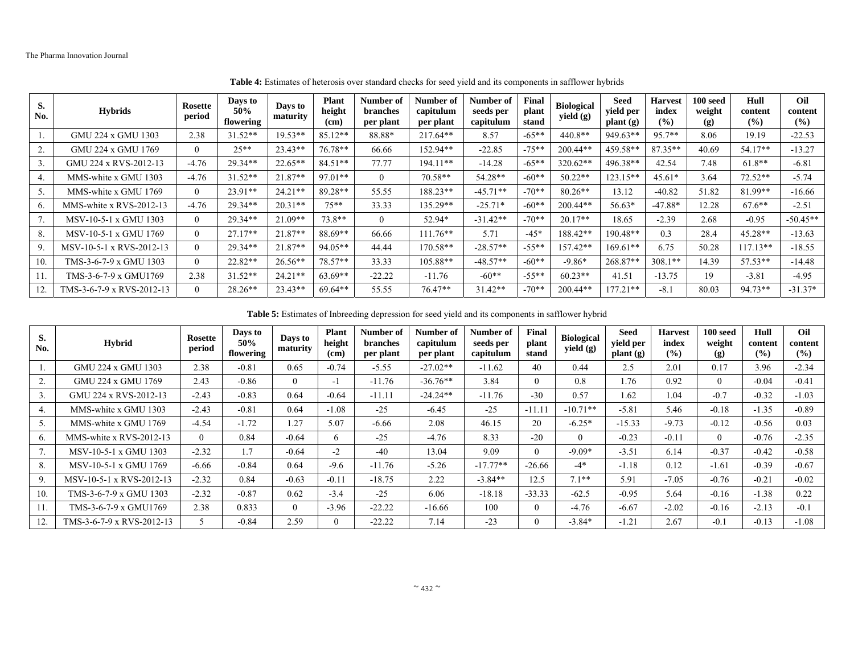| S.<br>No.        | <b>Hybrids</b>            | Rosette<br>period | Days to<br>50%<br>flowering | Davs to<br>maturity | <b>Plant</b><br>height<br>(c <sub>m</sub> ) | Number of<br>branches<br>per plant | Number of<br>capitulum<br>per plant | Number of<br>seeds per<br>capitulum | Final<br>plant<br>stand | <b>Biological</b><br>yield $(g)$ | <b>Seed</b><br>yield per<br>$\mathbf{plant}(\mathbf{g})$ | <b>Harvest</b><br>index<br>(%) | 100 seed<br>weight<br>(g) | Hull<br>content<br>(%) | Oil<br>content<br>$($ %) |
|------------------|---------------------------|-------------------|-----------------------------|---------------------|---------------------------------------------|------------------------------------|-------------------------------------|-------------------------------------|-------------------------|----------------------------------|----------------------------------------------------------|--------------------------------|---------------------------|------------------------|--------------------------|
|                  | <b>GMU 224 x GMU 1303</b> | 2.38              | $31.52**$                   | 19.53**             | 85.12**                                     | 88.88*                             | $217.64**$                          | 8.57                                | $-65**$                 | $440.8**$                        | 949.63**                                                 | 95.7**                         | 8.06                      | 19.19                  | $-22.53$                 |
| 2.               | GMU 224 x GMU 1769        | $\Omega$          | $25**$                      | $23.43**$           | $76.78**$                                   | 66.66                              | 152.94**                            | $-22.85$                            | $-75**$                 | 200.44**                         | 459.58**                                                 | $87.35**$                      | 40.69                     | $54.17**$              | $-13.27$                 |
| 3.               | GMU 224 x RVS-2012-13     | $-4.76$           | $29.34**$                   | $22.65**$           | $84.51**$                                   | 77.77                              | $194.11**$                          | $-14.28$                            | $-65**$                 | 320.62**                         | 496.38**                                                 | 42.54                          | 7.48                      | $61.8**$               | $-6.81$                  |
| 4.               | MMS-white x GMU 1303      | $-4.76$           | $31.52**$                   | $21.87**$           | 97.01**                                     | $\Omega$                           | $70.58**$                           | 54.28**                             | $-60**$                 | $50.22**$                        | $123.15**$                                               | $45.61*$                       | 3.64                      | $72.52**$              | $-5.74$                  |
| 5.               | MMS-white x GMU 1769      | $\Omega$          | $23.91**$                   | $24.21**$           | 89.28**                                     | 55.55                              | 188.23**                            | $-45.71**$                          | $-70**$                 | $80.26**$                        | 13.12                                                    | $-40.82$                       | 51.82                     | 81.99**                | $-16.66$                 |
| $\mathfrak{b}$ . | MMS-white x RVS-2012-13   | $-4.76$           | $29.34**$                   | $20.31**$           | $75***$                                     | 33.33                              | 135.29**                            | $-25.71*$                           | $-60**$                 | $200.44**$                       | 56.63*                                                   | $-47.88*$                      | 12.28                     | $67.6***$              | $-2.51$                  |
| 7.               | MSV-10-5-1 x GMU 1303     | $\Omega$          | $29.34**$                   | $21.09**$           | $73.8**$                                    | $\Omega$                           | 52.94*                              | $-31.42**$                          | $-70**$                 | $20.17**$                        | 18.65                                                    | $-2.39$                        | 2.68                      | $-0.95$                | $-50.45**$               |
| 8.               | MSV-10-5-1 x GMU 1769     | $\Omega$          | $27.17**$                   | $21.87**$           | 88.69**                                     | 66.66                              | $111.76**$                          | 5.71                                | $-45*$                  | 188.42**                         | 190.48**                                                 | 0.3                            | 28.4                      | $45.28**$              | $-13.63$                 |
| 9.               | MSV-10-5-1 x RVS-2012-13  | $\Omega$          | $29.34**$                   | 21.87**             | 94.05**                                     | 44.44                              | 170.58**                            | $-28.57**$                          | $-55**$                 | 157.42**                         | $169.61**$                                               | 6.75                           | 50.28                     | $117.13**$             | $-18.55$                 |
| 10.              | TMS-3-6-7-9 x GMU 1303    | $\Omega$          | $22.82**$                   | $26.56**$           | 78.57**                                     | 33.33                              | $105.88**$                          | $-48.57**$                          | $-60**$                 | $-9.86*$                         | 268.87**                                                 | $308.1**$                      | 14.39                     | $57.53**$              | $-14.48$                 |
| 11.              | TMS-3-6-7-9 x GMU1769     | 2.38              | $31.52**$                   | $24.21**$           | 63.69**                                     | $-22.22$                           | $-11.76$                            | $-60**$                             | $-55**$                 | $60.23**$                        | 41.51                                                    | $-13.75$                       | 19                        | $-3.81$                | $-4.95$                  |
| 12.              | TMS-3-6-7-9 x RVS-2012-13 | $\Omega$          | 28.26**                     | $23.43**$           | $69.64**$                                   | 55.55                              | $76.47**$                           | $31.42**$                           | $-70**$                 | $200.44**$                       | $177.21**$                                               | $-8.1$                         | 80.03                     | 94.73**                | $-31.37*$                |

**Table 4:** Estimates of heterosis over standard checks for seed yield and its components in safflower hybrids

**Table 5:** Estimates of Inbreeding depression for seed yield and its components in safflower hybrid

| S.<br>No. | <b>Hybrid</b>             | Rosette<br>period | Days to<br>50%<br>flowering | Days to<br>maturity | <b>Plant</b><br>height<br>(cm) | Number of<br>branches<br>per plant | Number of<br>capitulum<br>per plant | Number of<br>seeds per<br>capitulum | Final<br>plant<br>stand | <b>Biological</b><br>yield $(g)$ | <b>Seed</b><br>yield per<br>$\mathbf{plant}\left(\mathbf{g}\right)$ | <b>Harvest</b><br>index<br>(%) | 100 seed<br>weight<br>$\left( \mathbf{g} \right)$ | Hull<br>content<br>(%) | Oil<br>content<br>(%) |
|-----------|---------------------------|-------------------|-----------------------------|---------------------|--------------------------------|------------------------------------|-------------------------------------|-------------------------------------|-------------------------|----------------------------------|---------------------------------------------------------------------|--------------------------------|---------------------------------------------------|------------------------|-----------------------|
|           | GMU 224 x GMU 1303        | 2.38              | $-0.81$                     | 0.65                | $-0.74$                        | $-5.55$                            | $-27.02**$                          | $-11.62$                            | 40                      | 0.44                             | 2.5                                                                 | 2.01                           | 0.17                                              | 3.96                   | $-2.34$               |
| 2.        | GMU 224 x GMU 1769        | 2.43              | $-0.86$                     | $\theta$            | $-1$                           | $-11.76$                           | $-36.76**$                          | 3.84                                | $\Omega$                | 0.8                              | 1.76                                                                | 0.92                           | $\Omega$                                          | $-0.04$                | $-0.41$               |
| 3.        | GMU 224 x RVS-2012-13     | $-2.43$           | $-0.83$                     | 0.64                | $-0.64$                        | $-11.11$                           | $-24.24**$                          | $-11.76$                            | $-30$                   | 0.57                             | 1.62                                                                | 1.04                           | $-0.7$                                            | $-0.32$                | $-1.03$               |
| 4.        | MMS-white x GMU 1303      | $-2.43$           | $-0.81$                     | 0.64                | $-1.08$                        | $-25$                              | $-6.45$                             | $-25$                               | $-11.11$                | $-10.71**$                       | $-5.81$                                                             | 5.46                           | $-0.18$                                           | $-1.35$                | $-0.89$               |
| 5.        | MMS-white x GMU 1769      | $-4.54$           | $-1.72$                     | 1.27                | 5.07                           | $-6.66$                            | 2.08                                | 46.15                               | 20                      | $-6.25*$                         | $-15.33$                                                            | $-9.73$                        | $-0.12$                                           | $-0.56$                | 0.03                  |
| 6.        | MMS-white x RVS-2012-13   | $\theta$          | 0.84                        | $-0.64$             | 6                              | $-25$                              | $-4.76$                             | 8.33                                | $-20$                   | $\theta$                         | $-0.23$                                                             | $-0.11$                        | $\Omega$                                          | $-0.76$                | $-2.35$               |
|           | MSV-10-5-1 x GMU 1303     | $-2.32$           | 1.7                         | $-0.64$             | $-2$                           | $-40$                              | 13.04                               | 9.09                                | $\Omega$                | $-9.09*$                         | $-3.51$                                                             | 6.14                           | $-0.37$                                           | $-0.42$                | $-0.58$               |
| 8.        | MSV-10-5-1 x GMU 1769     | $-6.66$           | $-0.84$                     | 0.64                | $-9.6$                         | $-11.76$                           | $-5.26$                             | $-17.77**$                          | $-26.66$                | $-4*$                            | $-1.18$                                                             | 0.12                           | $-1.61$                                           | $-0.39$                | $-0.67$               |
| 9.        | MSV-10-5-1 x RVS-2012-13  | $-2.32$           | 0.84                        | $-0.63$             | $-0.11$                        | $-18.75$                           | 2.22                                | $-3.84**$                           | 12.5                    | $7.1**$                          | 5.91                                                                | $-7.05$                        | $-0.76$                                           | $-0.21$                | $-0.02$               |
| 10.       | TMS-3-6-7-9 x GMU 1303    | $-2.32$           | $-0.87$                     | 0.62                | $-3.4$                         | $-25$                              | 6.06                                | $-18.18$                            | $-33.33$                | $-62.5$                          | $-0.95$                                                             | 5.64                           | $-0.16$                                           | $-1.38$                | 0.22                  |
| 11.       | TMS-3-6-7-9 x GMU1769     | 2.38              | 0.833                       | $\theta$            | $-3.96$                        | $-22.22$                           | $-16.66$                            | 100                                 | $\theta$                | $-4.76$                          | $-6.67$                                                             | $-2.02$                        | $-0.16$                                           | $-2.13$                | $-0.1$                |
| 12.       | TMS-3-6-7-9 x RVS-2012-13 |                   | $-0.84$                     | 2.59                | $\Omega$                       | $-22.22$                           | 7.14                                | $-23$                               |                         | $-3.84*$                         | $-1.21$                                                             | 2.67                           | $-0.1$                                            | $-0.13$                | $-1.08$               |